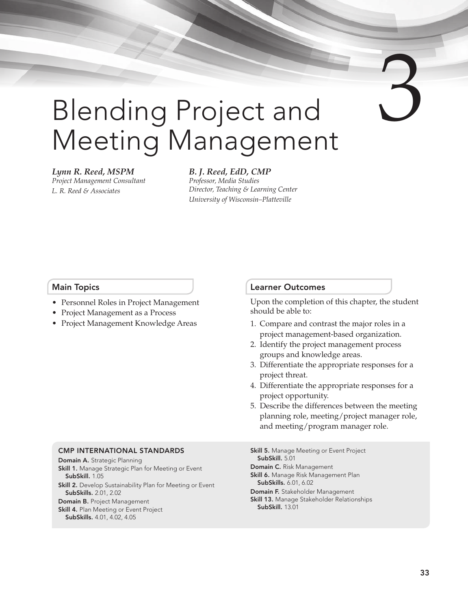# Blending Project and Meeting Management

#### *Lynn R. Reed, MSPM*

*Project Management Consultant L. R. Reed & Associates*

#### *B. J. Reed, EdD, CMP Professor, Media Studies Director, Teaching & Learning Center University of Wisconsin–Platteville*

#### Main Topics

- Personnel Roles in Project Management
- Project Management as a Process
- Project Management Knowledge Areas

#### Learner Outcomes

Upon the completion of this chapter, the student should be able to:

- 1. Compare and contrast the major roles in a project management-based organization.
- 2. Identify the project management process groups and knowledge areas.
- 3. Differentiate the appropriate responses for a project threat.
- 4. Differentiate the appropriate responses for a project opportunity.
- 5. Describe the differences between the meeting planning role, meeting/project manager role, and meeting/program manager role.

#### CMP INTERNATIONAL STANDARDS

Domain A. Strategic Planning Skill 1. Manage Strategic Plan for Meeting or Event SubSkill. 1.05 Skill 2. Develop Sustainability Plan for Meeting or Event SubSkills. 2.01, 2.02 Domain B. Project Management Skill 4. Plan Meeting or Event Project SubSkills. 4.01, 4.02, 4.05

**Skill 5.** Manage Meeting or Event Project SubSkill. 5.01 Domain C. Risk Management Skill 6. Manage Risk Management Plan SubSkills. 6.01, 6.02 Domain F. Stakeholder Management **Skill 13.** Manage Stakeholder Relationships SubSkill. 13.01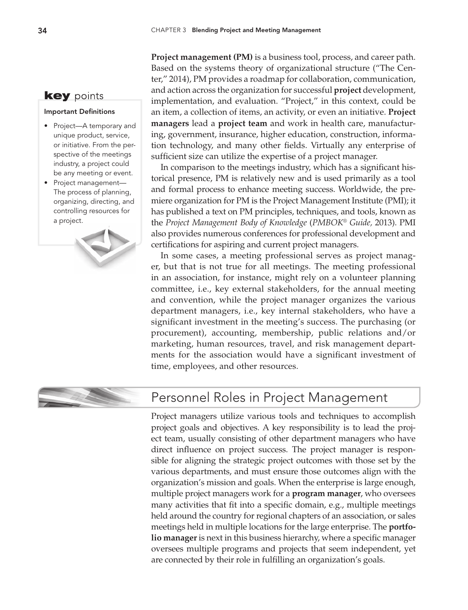## **key** points

#### Important Definitions

- • Project—A temporary and unique product, service, or initiative. From the perspective of the meetings industry, a project could be any meeting or event.
- Project management-The process of planning, organizing, directing, and controlling resources for a project.



**Project management (PM)** is a business tool, process, and career path. Based on the systems theory of organizational structure ("The Center," 2014), PM provides a roadmap for collaboration, communication, and action across the organization for successful **project** development, implementation, and evaluation. "Project," in this context, could be an item, a collection of items, an activity, or even an initiative. **Project managers** lead a **project team** and work in health care, manufacturing, government, insurance, higher education, construction, information technology, and many other fields. Virtually any enterprise of sufficient size can utilize the expertise of a project manager.

In comparison to the meetings industry, which has a significant historical presence, PM is relatively new and is used primarily as a tool and formal process to enhance meeting success. Worldwide, the premiere organization for PM is the Project Management Institute (PMI); it has published a text on PM principles, techniques, and tools, known as the *Project Management Body of Knowledge* (*PMBOK® Guide,* 2013). PMI also provides numerous conferences for professional development and certifications for aspiring and current project managers.

In some cases, a meeting professional serves as project manager, but that is not true for all meetings. The meeting professional in an association, for instance, might rely on a volunteer planning committee, i.e., key external stakeholders, for the annual meeting and convention, while the project manager organizes the various department managers, i.e., key internal stakeholders, who have a significant investment in the meeting's success. The purchasing (or procurement), accounting, membership, public relations and/or marketing, human resources, travel, and risk management departments for the association would have a significant investment of time, employees, and other resources.



# Personnel Roles in Project Management

Project managers utilize various tools and techniques to accomplish project goals and objectives. A key responsibility is to lead the project team, usually consisting of other department managers who have direct influence on project success. The project manager is responsible for aligning the strategic project outcomes with those set by the various departments, and must ensure those outcomes align with the organization's mission and goals. When the enterprise is large enough, multiple project managers work for a **program manager**, who oversees many activities that fit into a specific domain, e.g., multiple meetings held around the country for regional chapters of an association, or sales meetings held in multiple locations for the large enterprise. The **portfolio manager** is next in this business hierarchy, where a specific manager oversees multiple programs and projects that seem independent, yet are connected by their role in fulfilling an organization's goals.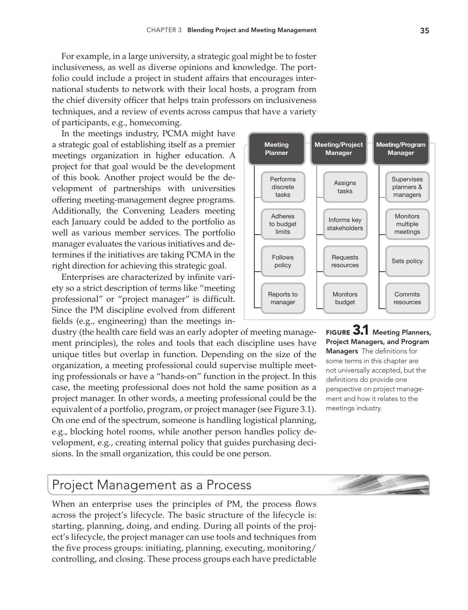For example, in a large university, a strategic goal might be to foster inclusiveness, as well as diverse opinions and knowledge. The portfolio could include a project in student affairs that encourages international students to network with their local hosts, a program from the chief diversity officer that helps train professors on inclusiveness techniques, and a review of events across campus that have a variety of participants, e.g., homecoming.

In the meetings industry, PCMA might have a strategic goal of establishing itself as a premier meetings organization in higher education. A project for that goal would be the development of this book. Another project would be the development of partnerships with universities offering meeting-management degree programs. Additionally, the Convening Leaders meeting each January could be added to the portfolio as well as various member services. The portfolio manager evaluates the various initiatives and determines if the initiatives are taking PCMA in the right direction for achieving this strategic goal.

Enterprises are characterized by infinite variety so a strict description of terms like "meeting professional" or "project manager" is difficult. Since the PM discipline evolved from different fields (e.g., engineering) than the meetings in-

dustry (the health care field was an early adopter of meeting management principles), the roles and tools that each discipline uses have unique titles but overlap in function. Depending on the size of the organization, a meeting professional could supervise multiple meeting professionals or have a "hands-on" function in the project. In this case, the meeting professional does not hold the same position as a project manager. In other words, a meeting professional could be the equivalent of a portfolio, program, or project manager (see Figure 3.1). On one end of the spectrum, someone is handling logistical planning, e.g., blocking hotel rooms, while another person handles policy development, e.g., creating internal policy that guides purchasing decisions. In the small organization, this could be one person.



FIGURE 3.1 Meeting Planners, Project Managers, and Program Managers The definitions for some terms in this chapter are not universally accepted, but the definitions do provide one perspective on project management and how it relates to the meetings industry.

# Project Management as a Process

When an enterprise uses the principles of PM, the process flows across the project's lifecycle. The basic structure of the lifecycle is: starting, planning, doing, and ending. During all points of the project's lifecycle, the project manager can use tools and techniques from the five process groups: initiating, planning, executing, monitoring/ controlling, and closing. These process groups each have predictable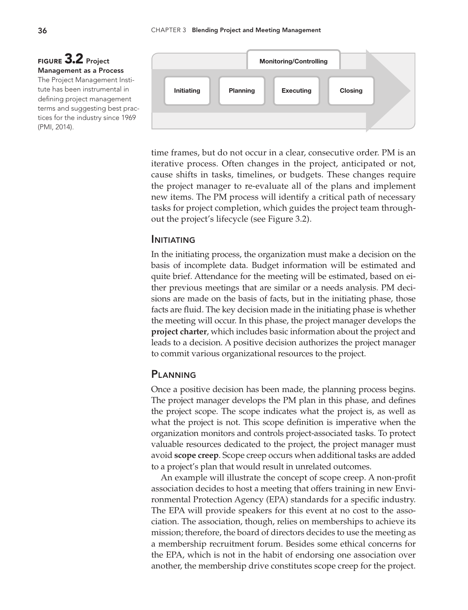## Figure 3.2 Project Management as a Process

The Project Management Institute has been instrumental in defining project management terms and suggesting best practices for the industry since 1969 (PMI, 2014).



time frames, but do not occur in a clear, consecutive order. PM is an iterative process. Often changes in the project, anticipated or not, cause shifts in tasks, timelines, or budgets. These changes require the project manager to re-evaluate all of the plans and implement new items. The PM process will identify a critical path of necessary tasks for project completion, which guides the project team throughout the project's lifecycle (see Figure 3.2).

#### **INITIATING**

In the initiating process, the organization must make a decision on the basis of incomplete data. Budget information will be estimated and quite brief. Attendance for the meeting will be estimated, based on either previous meetings that are similar or a needs analysis. PM decisions are made on the basis of facts, but in the initiating phase, those facts are fluid. The key decision made in the initiating phase is whether the meeting will occur. In this phase, the project manager develops the **project charter**, which includes basic information about the project and leads to a decision. A positive decision authorizes the project manager to commit various organizational resources to the project.

#### **PI ANNING**

Once a positive decision has been made, the planning process begins. The project manager develops the PM plan in this phase, and defines the project scope. The scope indicates what the project is, as well as what the project is not. This scope definition is imperative when the organization monitors and controls project-associated tasks. To protect valuable resources dedicated to the project, the project manager must avoid **scope creep**. Scope creep occurs when additional tasks are added to a project's plan that would result in unrelated outcomes.

An example will illustrate the concept of scope creep. A non-profit association decides to host a meeting that offers training in new Environmental Protection Agency (EPA) standards for a specific industry. The EPA will provide speakers for this event at no cost to the association. The association, though, relies on memberships to achieve its mission; therefore, the board of directors decides to use the meeting as a membership recruitment forum. Besides some ethical concerns for the EPA, which is not in the habit of endorsing one association over another, the membership drive constitutes scope creep for the project.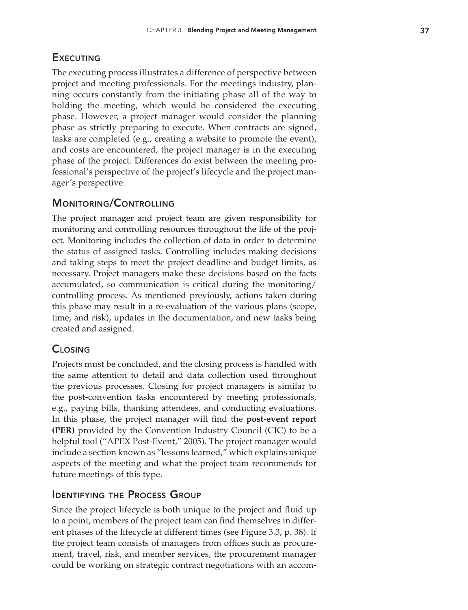## **EXECUTING**

The executing process illustrates a difference of perspective between project and meeting professionals. For the meetings industry, planning occurs constantly from the initiating phase all of the way to holding the meeting, which would be considered the executing phase. However, a project manager would consider the planning phase as strictly preparing to execute. When contracts are signed, tasks are completed (e.g., creating a website to promote the event), and costs are encountered, the project manager is in the executing phase of the project. Differences do exist between the meeting professional's perspective of the project's lifecycle and the project manager's perspective.

## Monitoring/Controlling

The project manager and project team are given responsibility for monitoring and controlling resources throughout the life of the project. Monitoring includes the collection of data in order to determine the status of assigned tasks. Controlling includes making decisions and taking steps to meet the project deadline and budget limits, as necessary. Project managers make these decisions based on the facts accumulated, so communication is critical during the monitoring/ controlling process. As mentioned previously, actions taken during this phase may result in a re-evaluation of the various plans (scope, time, and risk), updates in the documentation, and new tasks being created and assigned.

## **CLOSING**

Projects must be concluded, and the closing process is handled with the same attention to detail and data collection used throughout the previous processes. Closing for project managers is similar to the post-convention tasks encountered by meeting professionals, e.g., paying bills, thanking attendees, and conducting evaluations. In this phase, the project manager will find the **post-event report (PER)** provided by the Convention Industry Council (CIC) to be a helpful tool ("APEX Post-Event," 2005). The project manager would include a section known as "lessons learned," which explains unique aspects of the meeting and what the project team recommends for future meetings of this type.

## Identifying the Process Group

Since the project lifecycle is both unique to the project and fluid up to a point, members of the project team can find themselves in different phases of the lifecycle at different times (see Figure 3.3, p. 38). If the project team consists of managers from offices such as procurement, travel, risk, and member services, the procurement manager could be working on strategic contract negotiations with an accom-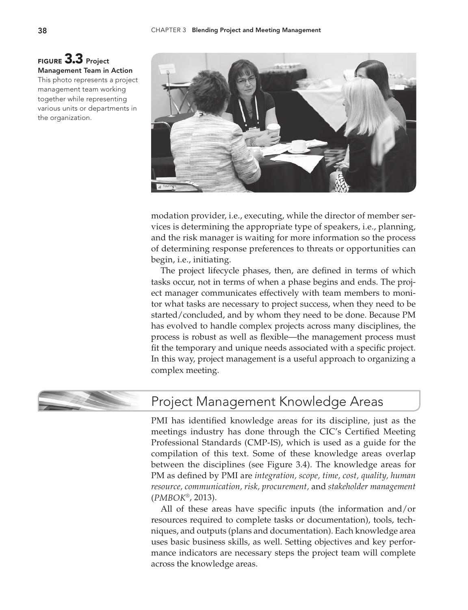



modation provider, i.e., executing, while the director of member services is determining the appropriate type of speakers, i.e., planning, and the risk manager is waiting for more information so the process of determining response preferences to threats or opportunities can begin, i.e., initiating.

The project lifecycle phases, then, are defined in terms of which tasks occur, not in terms of when a phase begins and ends. The project manager communicates effectively with team members to monitor what tasks are necessary to project success, when they need to be started/concluded, and by whom they need to be done. Because PM has evolved to handle complex projects across many disciplines, the process is robust as well as flexible—the management process must fit the temporary and unique needs associated with a specific project. In this way, project management is a useful approach to organizing a complex meeting.



# Project Management Knowledge Areas

PMI has identified knowledge areas for its discipline, just as the meetings industry has done through the CIC's Certified Meeting Professional Standards (CMP-IS), which is used as a guide for the compilation of this text. Some of these knowledge areas overlap between the disciplines (see Figure 3.4). The knowledge areas for PM as defined by PMI are *integration, scope, time, cost, quality, human resource, communication, risk, procurement,* and *stakeholder management* (*PMBOK*®, 2013).

All of these areas have specific inputs (the information and/or resources required to complete tasks or documentation), tools, techniques, and outputs (plans and documentation). Each knowledge area uses basic business skills, as well. Setting objectives and key performance indicators are necessary steps the project team will complete across the knowledge areas.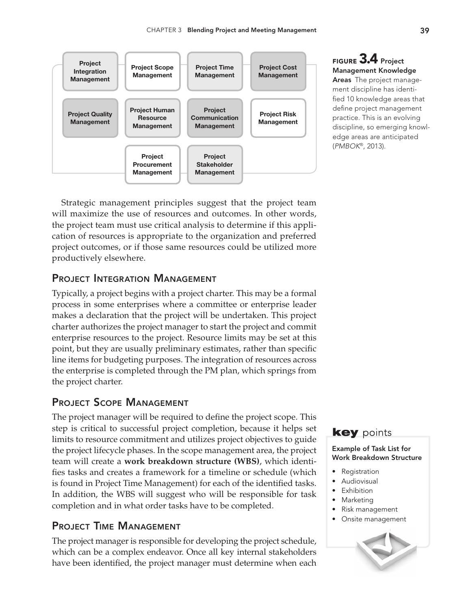

Figure 3.4 Project Management Knowledge Areas The project management discipline has identified 10 knowledge areas that define project management practice. This is an evolving discipline, so emerging knowledge areas are anticipated (*PMBOK*®, 2013).

Strategic management principles suggest that the project team will maximize the use of resources and outcomes. In other words, the project team must use critical analysis to determine if this application of resources is appropriate to the organization and preferred project outcomes, or if those same resources could be utilized more productively elsewhere.

## PROJECT INTEGRATION MANAGEMENT

Typically, a project begins with a project charter. This may be a formal process in some enterprises where a committee or enterprise leader makes a declaration that the project will be undertaken. This project charter authorizes the project manager to start the project and commit enterprise resources to the project. Resource limits may be set at this point, but they are usually preliminary estimates, rather than specific line items for budgeting purposes. The integration of resources across the enterprise is completed through the PM plan, which springs from the project charter.

## Project Scope Management

The project manager will be required to define the project scope. This step is critical to successful project completion, because it helps set limits to resource commitment and utilizes project objectives to guide the project lifecycle phases. In the scope management area, the project team will create a **work breakdown structure (WBS)**, which identifies tasks and creates a framework for a timeline or schedule (which is found in Project Time Management) for each of the identified tasks. In addition, the WBS will suggest who will be responsible for task completion and in what order tasks have to be completed.

## Project Time Management

The project manager is responsible for developing the project schedule, which can be a complex endeavor. Once all key internal stakeholders have been identified, the project manager must determine when each



#### Example of Task List for Work Breakdown Structure

- **Registration**
- • Audiovisual
- **Exhibition**
- **Marketing**
- • Risk management
- • Onsite management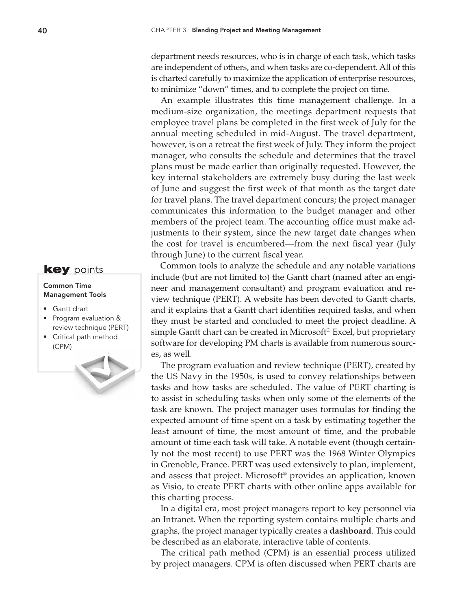department needs resources, who is in charge of each task, which tasks are independent of others, and when tasks are co-dependent. All of this is charted carefully to maximize the application of enterprise resources, to minimize "down" times, and to complete the project on time.

An example illustrates this time management challenge. In a medium-size organization, the meetings department requests that employee travel plans be completed in the first week of July for the annual meeting scheduled in mid-August. The travel department, however, is on a retreat the first week of July. They inform the project manager, who consults the schedule and determines that the travel plans must be made earlier than originally requested. However, the key internal stakeholders are extremely busy during the last week of June and suggest the first week of that month as the target date for travel plans. The travel department concurs; the project manager communicates this information to the budget manager and other members of the project team. The accounting office must make adjustments to their system, since the new target date changes when the cost for travel is encumbered—from the next fiscal year (July through June) to the current fiscal year.

Common tools to analyze the schedule and any notable variations include (but are not limited to) the Gantt chart (named after an engineer and management consultant) and program evaluation and review technique (PERT). A website has been devoted to Gantt charts, and it explains that a Gantt chart identifies required tasks, and when they must be started and concluded to meet the project deadline. A simple Gantt chart can be created in Microsoft® Excel, but proprietary software for developing PM charts is available from numerous sources, as well.

The program evaluation and review technique (PERT), created by the US Navy in the 1950s, is used to convey relationships between tasks and how tasks are scheduled. The value of PERT charting is to assist in scheduling tasks when only some of the elements of the task are known. The project manager uses formulas for finding the expected amount of time spent on a task by estimating together the least amount of time, the most amount of time, and the probable amount of time each task will take. A notable event (though certainly not the most recent) to use PERT was the 1968 Winter Olympics in Grenoble, France. PERT was used extensively to plan, implement, and assess that project. Microsoft® provides an application, known as Visio, to create PERT charts with other online apps available for this charting process.

In a digital era, most project managers report to key personnel via an Intranet. When the reporting system contains multiple charts and graphs, the project manager typically creates a **dashboard**. This could be described as an elaborate, interactive table of contents.

The critical path method (CPM) is an essential process utilized by project managers. CPM is often discussed when PERT charts are



#### Common Time Management Tools

- • Gantt chart
- • Program evaluation & review technique (PERT)
- • Critical path method (CPM)

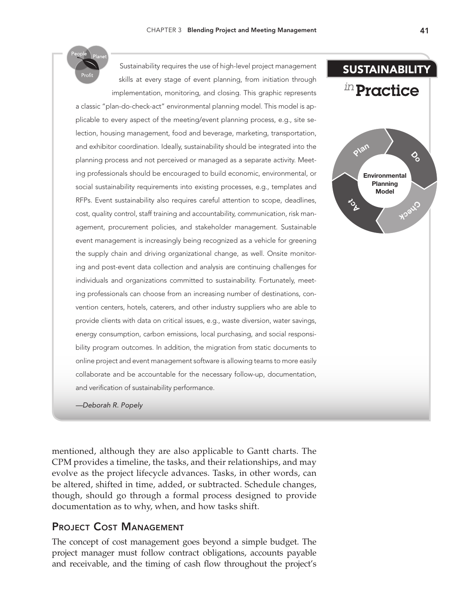

Sustainability requires the use of high-level project management skills at every stage of event planning, from initiation through implementation, monitoring, and closing. This graphic represents a classic "plan-do-check-act" environmental planning model. This model is applicable to every aspect of the meeting/event planning process, e.g., site selection, housing management, food and beverage, marketing, transportation, and exhibitor coordination. Ideally, sustainability should be integrated into the planning process and not perceived or managed as a separate activity. Meeting professionals should be encouraged to build economic, environmental, or social sustainability requirements into existing processes, e.g., templates and RFPs. Event sustainability also requires careful attention to scope, deadlines, cost, quality control, staff training and accountability, communication, risk management, procurement policies, and stakeholder management. Sustainable event management is increasingly being recognized as a vehicle for greening the supply chain and driving organizational change, as well. Onsite monitoring and post-event data collection and analysis are continuing challenges for individuals and organizations committed to sustainability. Fortunately, meeting professionals can choose from an increasing number of destinations, convention centers, hotels, caterers, and other industry suppliers who are able to provide clients with data on critical issues, e.g., waste diversion, water savings,



*—Deborah R. Popely*

and verification of sustainability performance.

mentioned, although they are also applicable to Gantt charts. The CPM provides a timeline, the tasks, and their relationships, and may evolve as the project lifecycle advances. Tasks, in other words, can be altered, shifted in time, added, or subtracted. Schedule changes, though, should go through a formal process designed to provide documentation as to why, when, and how tasks shift.

## Project Cost Management

The concept of cost management goes beyond a simple budget. The project manager must follow contract obligations, accounts payable and receivable, and the timing of cash flow throughout the project's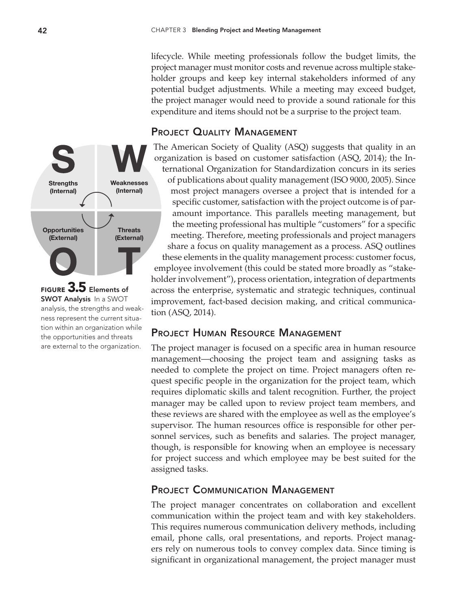lifecycle. While meeting professionals follow the budget limits, the project manager must monitor costs and revenue across multiple stakeholder groups and keep key internal stakeholders informed of any potential budget adjustments. While a meeting may exceed budget, the project manager would need to provide a sound rationale for this expenditure and items should not be a surprise to the project team.

## PROJECT QUALITY MANAGEMENT



Figure 3.5 Elements of SWOT Analysis In a SWOT analysis, the strengths and weakness represent the current situation within an organization while the opportunities and threats are external to the organization.

The American Society of Quality (ASQ) suggests that quality in an organization is based on customer satisfaction (ASQ, 2014); the International Organization for Standardization concurs in its series of publications about quality management (ISO 9000, 2005). Since most project managers oversee a project that is intended for a specific customer, satisfaction with the project outcome is of paramount importance. This parallels meeting management, but the meeting professional has multiple "customers" for a specific meeting. Therefore, meeting professionals and project managers share a focus on quality management as a process. ASQ outlines these elements in the quality management process: customer focus, employee involvement (this could be stated more broadly as "stakeholder involvement"), process orientation, integration of departments across the enterprise, systematic and strategic techniques, continual improvement, fact-based decision making, and critical communication (ASQ, 2014).

## Project Human Resource Management

The project manager is focused on a specific area in human resource management—choosing the project team and assigning tasks as needed to complete the project on time. Project managers often request specific people in the organization for the project team, which requires diplomatic skills and talent recognition. Further, the project manager may be called upon to review project team members, and these reviews are shared with the employee as well as the employee's supervisor. The human resources office is responsible for other personnel services, such as benefits and salaries. The project manager, though, is responsible for knowing when an employee is necessary for project success and which employee may be best suited for the assigned tasks.

## PROJECT COMMUNICATION MANAGEMENT

The project manager concentrates on collaboration and excellent communication within the project team and with key stakeholders. This requires numerous communication delivery methods, including email, phone calls, oral presentations, and reports. Project managers rely on numerous tools to convey complex data. Since timing is significant in organizational management, the project manager must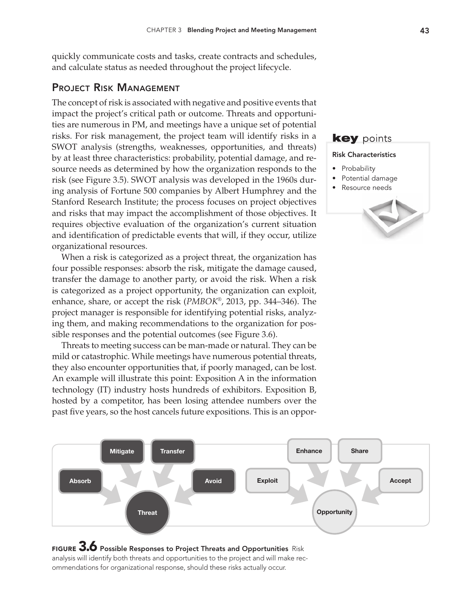quickly communicate costs and tasks, create contracts and schedules, and calculate status as needed throughout the project lifecycle.

## Project Risk Management

The concept of risk is associated with negative and positive events that impact the project's critical path or outcome. Threats and opportunities are numerous in PM, and meetings have a unique set of potential risks. For risk management, the project team will identify risks in a SWOT analysis (strengths, weaknesses, opportunities, and threats) by at least three characteristics: probability, potential damage, and resource needs as determined by how the organization responds to the risk (see Figure 3.5). SWOT analysis was developed in the 1960s during analysis of Fortune 500 companies by Albert Humphrey and the Stanford Research Institute; the process focuses on project objectives and risks that may impact the accomplishment of those objectives. It requires objective evaluation of the organization's current situation and identification of predictable events that will, if they occur, utilize organizational resources.

When a risk is categorized as a project threat, the organization has four possible responses: absorb the risk, mitigate the damage caused, transfer the damage to another party, or avoid the risk. When a risk is categorized as a project opportunity, the organization can exploit, enhance, share, or accept the risk (*PMBOK*®, 2013, pp. 344–346). The project manager is responsible for identifying potential risks, analyzing them, and making recommendations to the organization for possible responses and the potential outcomes (see Figure 3.6).

Threats to meeting success can be man-made or natural. They can be mild or catastrophic. While meetings have numerous potential threats, they also encounter opportunities that, if poorly managed, can be lost. An example will illustrate this point: Exposition A in the information technology (IT) industry hosts hundreds of exhibitors. Exposition B, hosted by a competitor, has been losing attendee numbers over the past five years, so the host cancels future expositions. This is an oppor-



#### FIGURE  $3.6$  Possible Responses to Project Threats and Opportunities Risk analysis will identify both threats and opportunities to the project and will make recommendations for organizational response, should these risks actually occur.

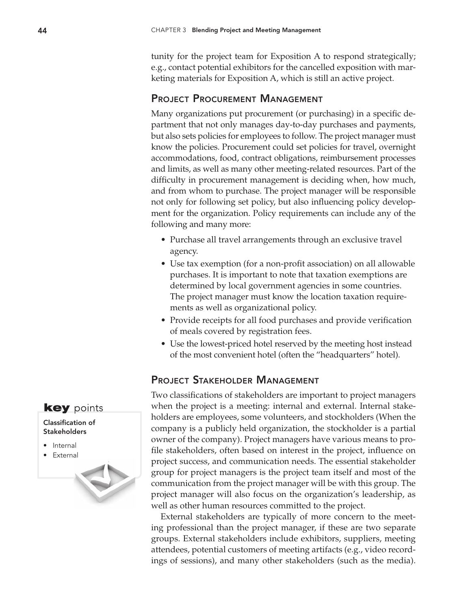tunity for the project team for Exposition A to respond strategically; e.g., contact potential exhibitors for the cancelled exposition with marketing materials for Exposition A, which is still an active project.

## PROJECT PROCUREMENT MANAGEMENT

Many organizations put procurement (or purchasing) in a specific department that not only manages day-to-day purchases and payments, but also sets policies for employees to follow. The project manager must know the policies. Procurement could set policies for travel, overnight accommodations, food, contract obligations, reimbursement processes and limits, as well as many other meeting-related resources. Part of the difficulty in procurement management is deciding when, how much, and from whom to purchase. The project manager will be responsible not only for following set policy, but also influencing policy development for the organization. Policy requirements can include any of the following and many more:

- Purchase all travel arrangements through an exclusive travel agency.
- Use tax exemption (for a non-profit association) on all allowable purchases. It is important to note that taxation exemptions are determined by local government agencies in some countries. The project manager must know the location taxation requirements as well as organizational policy.
- Provide receipts for all food purchases and provide verification of meals covered by registration fees.
- Use the lowest-priced hotel reserved by the meeting host instead of the most convenient hotel (often the "headquarters" hotel).

## Project Stakeholder Management

Two classifications of stakeholders are important to project managers when the project is a meeting: internal and external. Internal stakeholders are employees, some volunteers, and stockholders (When the company is a publicly held organization, the stockholder is a partial owner of the company). Project managers have various means to profile stakeholders, often based on interest in the project, influence on project success, and communication needs. The essential stakeholder group for project managers is the project team itself and most of the communication from the project manager will be with this group. The project manager will also focus on the organization's leadership, as well as other human resources committed to the project.

External stakeholders are typically of more concern to the meeting professional than the project manager, if these are two separate groups. External stakeholders include exhibitors, suppliers, meeting attendees, potential customers of meeting artifacts (e.g., video recordings of sessions), and many other stakeholders (such as the media).

## **key** points

#### Classification of **Stakeholders**

- Internal
- • External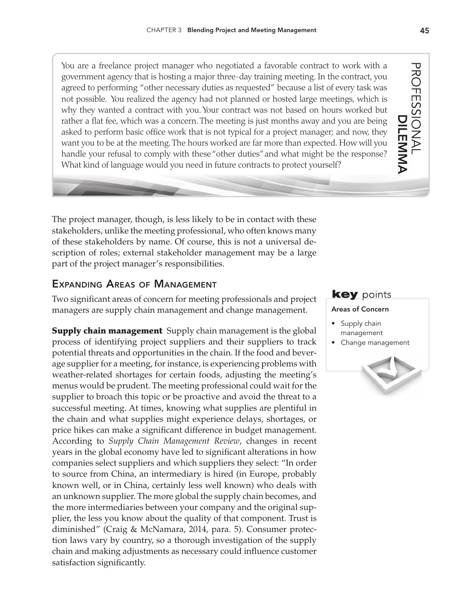You are a freelance project manager who negotiated a favorable contract to work with a government agency that is hosting a major three-day training meeting. In the contract, you agreed to performing "other necessary duties as requested" because a list of every task was not possible. You realized the agency had not planned or hosted large meetings, which is why they wanted a contract with you. Your contract was not based on hours worked but rather a flat fee, which was a concern. The meeting is just months away and you are being asked to perform basic office work that is not typical for a project manager; and now, they want you to be at the meeting. The hours worked are far more than expected. How will you handle your refusal to comply with these "other duties" and what might be the response? What kind of language would you need in future contracts to protect yourself?

The project manager, though, is less likely to be in contact with these stakeholders, unlike the meeting professional, who often knows many of these stakeholders by name. Of course, this is not a universal description of roles; external stakeholder management may be a large part of the project manager's responsibilities.

## Expanding Areas of Management

Two significant areas of concern for meeting professionals and project managers are supply chain management and change management.

**Supply chain management** Supply chain management is the global process of identifying project suppliers and their suppliers to track potential threats and opportunities in the chain. If the food and beverage supplier for a meeting, for instance, is experiencing problems with weather-related shortages for certain foods, adjusting the meeting's menus would be prudent. The meeting professional could wait for the supplier to broach this topic or be proactive and avoid the threat to a successful meeting. At times, knowing what supplies are plentiful in the chain and what supplies might experience delays, shortages, or price hikes can make a significant difference in budget management. According to *Supply Chain Management Review*, changes in recent years in the global economy have led to significant alterations in how companies select suppliers and which suppliers they select: "In order to source from China, an intermediary is hired (in Europe, probably known well, or in China, certainly less well known) who deals with an unknown supplier. The more global the supply chain becomes, and the more intermediaries between your company and the original supplier, the less you know about the quality of that component. Trust is diminished" (Craig & McNamara, 2014, para. 5). Consumer protection laws vary by country, so a thorough investigation of the supply chain and making adjustments as necessary could influence customer satisfaction significantly.

#### **key** points

#### Areas of Concern

- Supply chain management
- • Change management